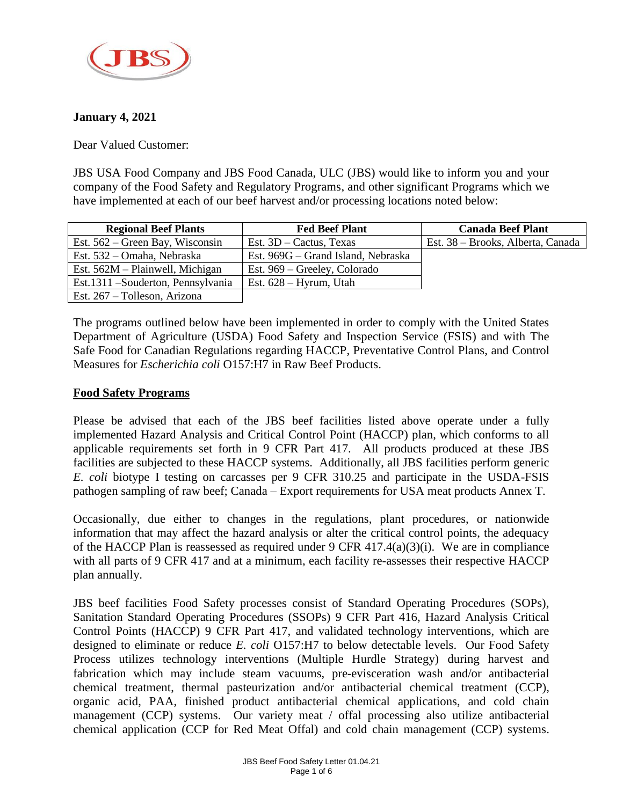

## **January 4, 2021**

Dear Valued Customer:

JBS USA Food Company and JBS Food Canada, ULC (JBS) would like to inform you and your company of the Food Safety and Regulatory Programs, and other significant Programs which we have implemented at each of our beef harvest and/or processing locations noted below:

| <b>Regional Beef Plants</b>        | <b>Fed Beef Plant</b>              | <b>Canada Beef Plant</b>          |
|------------------------------------|------------------------------------|-----------------------------------|
| Est. $562$ – Green Bay, Wisconsin  | Est. $3D -$ Cactus, Texas          | Est. 38 – Brooks, Alberta, Canada |
| Est. 532 – Omaha, Nebraska         | Est. 969G – Grand Island, Nebraska |                                   |
| Est. $562M$ – Plainwell, Michigan  | Est. 969 – Greeley, Colorado       |                                   |
| Est.1311 – Souderton, Pennsylvania | Est. $628 - Hyrum$ , Utah          |                                   |
| Est. 267 – Tolleson, Arizona       |                                    |                                   |

The programs outlined below have been implemented in order to comply with the United States Department of Agriculture (USDA) Food Safety and Inspection Service (FSIS) and with The Safe Food for Canadian Regulations regarding HACCP, Preventative Control Plans, and Control Measures for *Escherichia coli* O157:H7 in Raw Beef Products.

### **Food Safety Programs**

Please be advised that each of the JBS beef facilities listed above operate under a fully implemented Hazard Analysis and Critical Control Point (HACCP) plan, which conforms to all applicable requirements set forth in 9 CFR Part 417. All products produced at these JBS facilities are subjected to these HACCP systems. Additionally, all JBS facilities perform generic *E. coli* biotype I testing on carcasses per 9 CFR 310.25 and participate in the USDA-FSIS pathogen sampling of raw beef; Canada – Export requirements for USA meat products Annex T.

Occasionally, due either to changes in the regulations, plant procedures, or nationwide information that may affect the hazard analysis or alter the critical control points, the adequacy of the HACCP Plan is reassessed as required under 9 CFR 417.4(a)(3)(i). We are in compliance with all parts of 9 CFR 417 and at a minimum, each facility re-assesses their respective HACCP plan annually.

JBS beef facilities Food Safety processes consist of Standard Operating Procedures (SOPs), Sanitation Standard Operating Procedures (SSOPs) 9 CFR Part 416, Hazard Analysis Critical Control Points (HACCP) 9 CFR Part 417, and validated technology interventions, which are designed to eliminate or reduce *E. coli* O157:H7 to below detectable levels. Our Food Safety Process utilizes technology interventions (Multiple Hurdle Strategy) during harvest and fabrication which may include steam vacuums, pre-evisceration wash and/or antibacterial chemical treatment, thermal pasteurization and/or antibacterial chemical treatment (CCP), organic acid, PAA, finished product antibacterial chemical applications, and cold chain management (CCP) systems. Our variety meat / offal processing also utilize antibacterial chemical application (CCP for Red Meat Offal) and cold chain management (CCP) systems.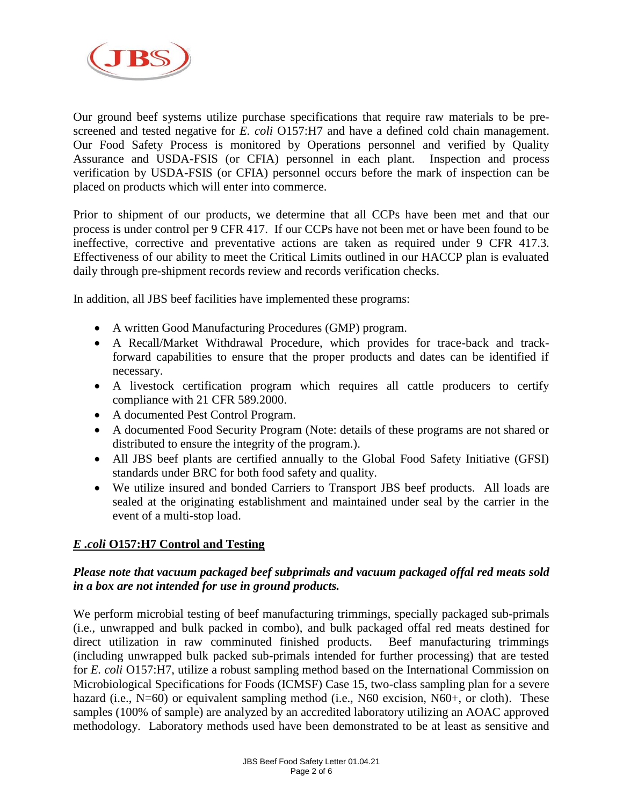

Our ground beef systems utilize purchase specifications that require raw materials to be prescreened and tested negative for *E. coli* O157:H7 and have a defined cold chain management. Our Food Safety Process is monitored by Operations personnel and verified by Quality Assurance and USDA-FSIS (or CFIA) personnel in each plant. Inspection and process verification by USDA-FSIS (or CFIA) personnel occurs before the mark of inspection can be placed on products which will enter into commerce.

Prior to shipment of our products, we determine that all CCPs have been met and that our process is under control per 9 CFR 417. If our CCPs have not been met or have been found to be ineffective, corrective and preventative actions are taken as required under 9 CFR 417.3. Effectiveness of our ability to meet the Critical Limits outlined in our HACCP plan is evaluated daily through pre-shipment records review and records verification checks.

In addition, all JBS beef facilities have implemented these programs:

- A written Good Manufacturing Procedures (GMP) program.
- A Recall/Market Withdrawal Procedure, which provides for trace-back and trackforward capabilities to ensure that the proper products and dates can be identified if necessary.
- A livestock certification program which requires all cattle producers to certify compliance with 21 CFR 589.2000.
- A documented Pest Control Program.
- A documented Food Security Program (Note: details of these programs are not shared or distributed to ensure the integrity of the program.).
- All JBS beef plants are certified annually to the Global Food Safety Initiative (GFSI) standards under BRC for both food safety and quality.
- We utilize insured and bonded Carriers to Transport JBS beef products. All loads are sealed at the originating establishment and maintained under seal by the carrier in the event of a multi-stop load.

# *E .coli* **O157:H7 Control and Testing**

## *Please note that vacuum packaged beef subprimals and vacuum packaged offal red meats sold in a box are not intended for use in ground products.*

We perform microbial testing of beef manufacturing trimmings, specially packaged sub-primals (i.e., unwrapped and bulk packed in combo), and bulk packaged offal red meats destined for direct utilization in raw comminuted finished products. Beef manufacturing trimmings (including unwrapped bulk packed sub-primals intended for further processing) that are tested for *E. coli* O157:H7, utilize a robust sampling method based on the International Commission on Microbiological Specifications for Foods (ICMSF) Case 15, two-class sampling plan for a severe hazard (i.e., N=60) or equivalent sampling method (i.e., N60 excision, N60+, or cloth). These samples (100% of sample) are analyzed by an accredited laboratory utilizing an AOAC approved methodology. Laboratory methods used have been demonstrated to be at least as sensitive and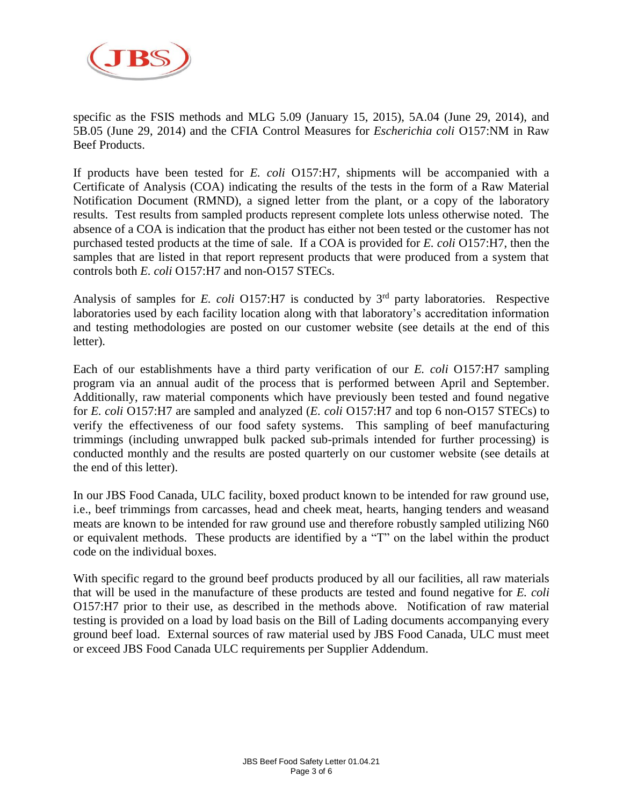

specific as the FSIS methods and MLG 5.09 (January 15, 2015), 5A.04 (June 29, 2014), and 5B.05 (June 29, 2014) and the CFIA Control Measures for *Escherichia coli* O157:NM in Raw Beef Products.

If products have been tested for *E. coli* O157:H7, shipments will be accompanied with a Certificate of Analysis (COA) indicating the results of the tests in the form of a Raw Material Notification Document (RMND), a signed letter from the plant, or a copy of the laboratory results. Test results from sampled products represent complete lots unless otherwise noted. The absence of a COA is indication that the product has either not been tested or the customer has not purchased tested products at the time of sale. If a COA is provided for *E. coli* O157:H7, then the samples that are listed in that report represent products that were produced from a system that controls both *E. coli* O157:H7 and non-O157 STECs.

Analysis of samples for *E. coli* O157:H7 is conducted by 3<sup>rd</sup> party laboratories. Respective laboratories used by each facility location along with that laboratory's accreditation information and testing methodologies are posted on our customer website (see details at the end of this letter).

Each of our establishments have a third party verification of our *E. coli* O157:H7 sampling program via an annual audit of the process that is performed between April and September. Additionally, raw material components which have previously been tested and found negative for *E. coli* O157:H7 are sampled and analyzed (*E. coli* O157:H7 and top 6 non-O157 STECs) to verify the effectiveness of our food safety systems. This sampling of beef manufacturing trimmings (including unwrapped bulk packed sub-primals intended for further processing) is conducted monthly and the results are posted quarterly on our customer website (see details at the end of this letter).

In our JBS Food Canada, ULC facility, boxed product known to be intended for raw ground use, i.e., beef trimmings from carcasses, head and cheek meat, hearts, hanging tenders and weasand meats are known to be intended for raw ground use and therefore robustly sampled utilizing N60 or equivalent methods. These products are identified by a "T" on the label within the product code on the individual boxes.

With specific regard to the ground beef products produced by all our facilities, all raw materials that will be used in the manufacture of these products are tested and found negative for *E. coli* O157:H7 prior to their use, as described in the methods above. Notification of raw material testing is provided on a load by load basis on the Bill of Lading documents accompanying every ground beef load. External sources of raw material used by JBS Food Canada, ULC must meet or exceed JBS Food Canada ULC requirements per Supplier Addendum.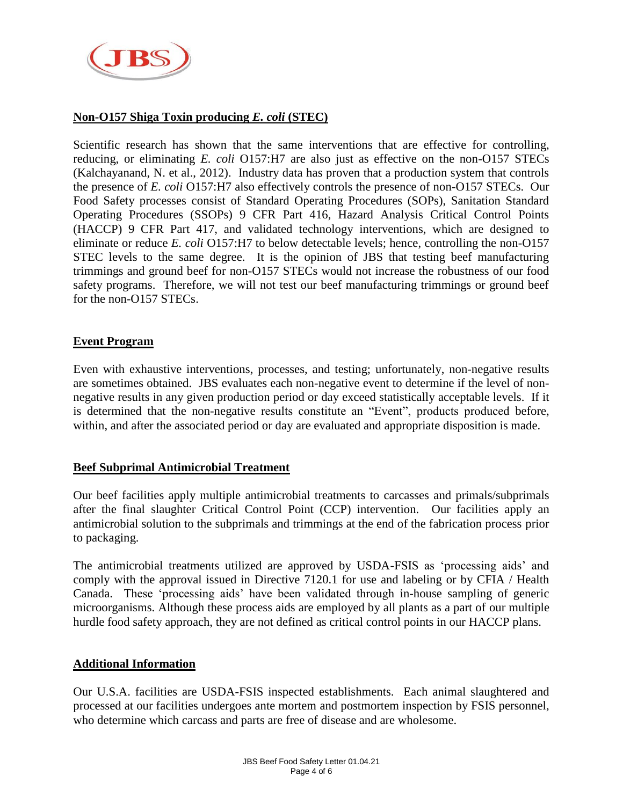

# **Non-O157 Shiga Toxin producing** *E. coli* **(STEC)**

Scientific research has shown that the same interventions that are effective for controlling, reducing, or eliminating *E. coli* O157:H7 are also just as effective on the non-O157 STECs (Kalchayanand, N. et al., 2012). Industry data has proven that a production system that controls the presence of *E. coli* O157:H7 also effectively controls the presence of non-O157 STECs. Our Food Safety processes consist of Standard Operating Procedures (SOPs), Sanitation Standard Operating Procedures (SSOPs) 9 CFR Part 416, Hazard Analysis Critical Control Points (HACCP) 9 CFR Part 417, and validated technology interventions, which are designed to eliminate or reduce *E. coli* O157:H7 to below detectable levels; hence, controlling the non-O157 STEC levels to the same degree. It is the opinion of JBS that testing beef manufacturing trimmings and ground beef for non-O157 STECs would not increase the robustness of our food safety programs. Therefore, we will not test our beef manufacturing trimmings or ground beef for the non-O157 STECs.

### **Event Program**

Even with exhaustive interventions, processes, and testing; unfortunately, non-negative results are sometimes obtained. JBS evaluates each non-negative event to determine if the level of nonnegative results in any given production period or day exceed statistically acceptable levels. If it is determined that the non-negative results constitute an "Event", products produced before, within, and after the associated period or day are evaluated and appropriate disposition is made.

#### **Beef Subprimal Antimicrobial Treatment**

Our beef facilities apply multiple antimicrobial treatments to carcasses and primals/subprimals after the final slaughter Critical Control Point (CCP) intervention. Our facilities apply an antimicrobial solution to the subprimals and trimmings at the end of the fabrication process prior to packaging.

The antimicrobial treatments utilized are approved by USDA-FSIS as 'processing aids' and comply with the approval issued in Directive 7120.1 for use and labeling or by CFIA / Health Canada. These 'processing aids' have been validated through in-house sampling of generic microorganisms. Although these process aids are employed by all plants as a part of our multiple hurdle food safety approach, they are not defined as critical control points in our HACCP plans.

#### **Additional Information**

Our U.S.A. facilities are USDA-FSIS inspected establishments. Each animal slaughtered and processed at our facilities undergoes ante mortem and postmortem inspection by FSIS personnel, who determine which carcass and parts are free of disease and are wholesome.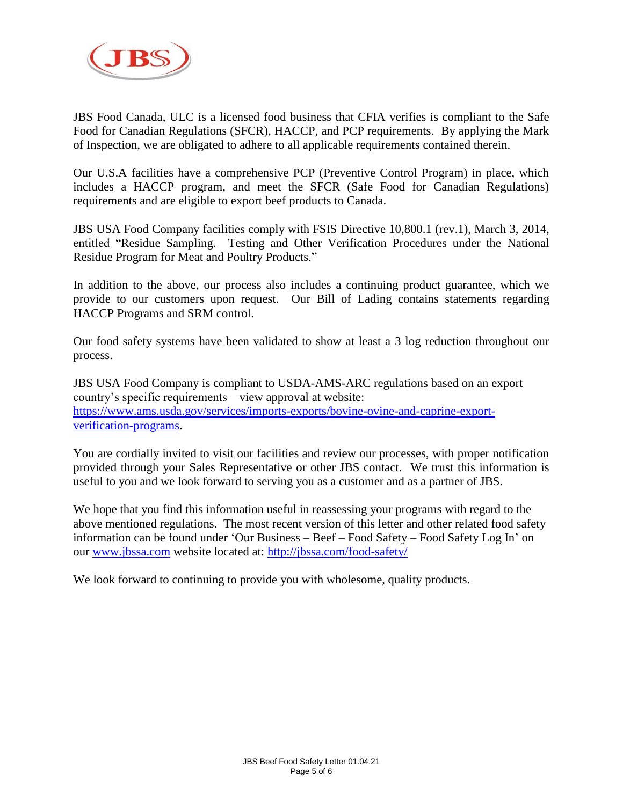

JBS Food Canada, ULC is a licensed food business that CFIA verifies is compliant to the Safe Food for Canadian Regulations (SFCR), HACCP, and PCP requirements. By applying the Mark of Inspection, we are obligated to adhere to all applicable requirements contained therein.

Our U.S.A facilities have a comprehensive PCP (Preventive Control Program) in place, which includes a HACCP program, and meet the SFCR (Safe Food for Canadian Regulations) requirements and are eligible to export beef products to Canada.

JBS USA Food Company facilities comply with FSIS Directive 10,800.1 (rev.1), March 3, 2014, entitled "Residue Sampling. Testing and Other Verification Procedures under the National Residue Program for Meat and Poultry Products."

In addition to the above, our process also includes a continuing product guarantee, which we provide to our customers upon request. Our Bill of Lading contains statements regarding HACCP Programs and SRM control.

Our food safety systems have been validated to show at least a 3 log reduction throughout our process.

JBS USA Food Company is compliant to USDA-AMS-ARC regulations based on an export country's specific requirements – view approval at website: [https://www.ams.usda.gov/services/imports-exports/bovine-ovine-and-caprine-export](https://www.ams.usda.gov/services/imports-exports/bovine-ovine-and-caprine-export-verification-programs)[verification-programs.](https://www.ams.usda.gov/services/imports-exports/bovine-ovine-and-caprine-export-verification-programs)

You are cordially invited to visit our facilities and review our processes, with proper notification provided through your Sales Representative or other JBS contact. We trust this information is useful to you and we look forward to serving you as a customer and as a partner of JBS.

We hope that you find this information useful in reassessing your programs with regard to the above mentioned regulations. The most recent version of this letter and other related food safety information can be found under 'Our Business – Beef – Food Safety – Food Safety Log In' on our [www.jbssa.com](http://www.jbssa.com/) website located at:<http://jbssa.com/food-safety/>

We look forward to continuing to provide you with wholesome, quality products.